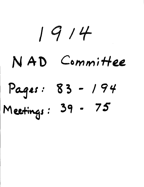# $1914$

# $N AD$  Committee

# **Per : 85 - / 94/**  Meetings: 39 - 75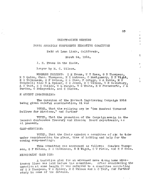#### THIRTY-NINTH MEETING

#### NORTH AMERICAN CONFERENCE EXECUTIVE COMMITTEE

Held at Loma Linda, California,

March 24, 1914.

I. H. Evans in the Chair.

Frajer by M. C. Wilcox.

MEMBERS PRESENT: I H Evans, W T Knox, G B Thompson, R D Quinn, Chas, Thompson, E E Andross, 0 Montgomery, S E Wight, B G Wilkinson, G F' Watson, H S Shaw, F Griggs, W A Ruble, M N Campbell; also W A Spicer, C H Jones, M C Wilcox, W D Salisbury, A O Tait, H G Childs, W L Burgan, W C White, E W Farnsworth, J A Burden, C McReynolds, and C Santee,

H ARVEST INGATHERING:

The question of the Harvest Ingathering Campaign 1914 being given careful consideration, it was

VOTED, That the rallying cry be "One Hundred Thousand Dollars for Missions," and further

VOTED, That the promotion of the Campaigniemain in the General Conference Treasury and Mission Board departments, as at present.

#### CAMP MEETINGS:

VOTED, That the Chair appoint a committee of six: to take under consideration the plans, time of holding and help for the coming camp-meetings.

This committee was announced as follows: Charles Thompson, G F Watson, B G Wilkinson, S E Wight, C W Flaiz, and H S Shaw.

## MISSIONARY CAMPA IGN:

A tentative plan for an advanced move along home missionary lines was laid before the committee. After considering the question at some length it was referred to a committee consisting  $\bar{0}f$  G B Thompson, W A Spicer, M C Wilcox and A O Tait, for further study in some of the details.

83

 $\epsilon$  $\mathbf{1}$  $\left($  $\epsilon$ 

t

 $\mathbf{r}$  $\mathbf{A}$ 

 $\mathbf{1}$  $\sum_{i=1}^{n}$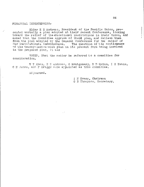#### FINANCIAL INDEBTEDNESS:

Elder E E Andress, President of the Pacific Union, presented verbally a plan adopted at their recent Conference, looking toward the relief of the educational institutions in their Union, and asked that the Committee approve of thsis plan, and relieve them from the plan adopted by the General Conference for the relief of our institutional indebtedness. The question of the continuance our institutional indebtedness. of the twenty-cent-a-week plan in its present form being involved in the proposed plan, it was

VOTED, That the matter be referred to a committee for consideration.

W T Knox, E E Andross, O Montgomery, R D Quinn, I H Evans, C H Jones, and F Griggs wore appointed as this committee.

Adjourned.

I H Evans, Chairman

G B Thompson, Secretary.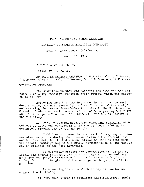# FORTIETH MEETING NORTH AMERICAN

#### DIVISION CONFERENCE EXECUTIVE COMMITTEE

Held at Loma Linda, California

March 25, 1914,

I H Evans in the Chair.

Prayer by C W Flaiz.

ADDITIONAL MEMBERS PRESENT: C W Fiaiz; also C E Weeks, L M Bowen, Claude Conard, G W Reaser, Dr. D D Comstock, J W Adams.

MISSIONARY CAMPAIGN:

The committee to whom was referred the plan for the  $pr\circ$ posed missionary campaign, rendered their report, which was adopted as follows:-

Believing that the hour has come when our people must devote themselves most earnestly to "the finishing of the work, and desiring that every Seventh-day Adventist in the North American Division Conference shall take an active part in getting the Third Angel's Message before the people of this Division, we recommend the following:-

1. That, a special missionary campaign, beginning with October 1, 1914, and continuing until the following spring, be definitely planned for by all our people.

Thad does not mean that we are to in any way slacken our missionary work during the interval between the present tine and the date set; but that due preparations be made so that when the special campaign begins the entire working force of our people may be utilized to the best advantage.

We earnestly solicit the cooperation of all union, local, and church officers, and pray that the Spirit of Ged may move upon our people everywhere to unite in making this plan a mighty factor in the giving of the message to the people of this Division.

As a working basis on which we may all unite, we suggest the  $\hat{D}$  llowing:-

(a) That each church be organized into missionary bands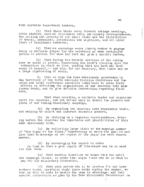with suitable department leaders,

(b) That these bands carry forward cottage meetings, Bible studies, medical missionary work, missionary correspondence, the selling and loaning of our small books and the distribution of tracts, pamphlets, periodicals and magazines, and all other lines of missionary endeavor.

 $(c)$  That we encourage every church member to gengage daily in definite prayer for the salvation of some particular person or persons for whom the Lord may give a special burden.

(d) That during the Sabbath services of the coming year we unite in prayer, beseeching the Lord's blessing upon the communities in which we live, praying that the Lord may lead souls to himself, -- and also for our ministry, that there may be a large ingathering of souls,

 $2.$  That we urge the home missionary secretaries in the territory of the North American Division Conference and the union and local conference executive committees to unite their efforts in effecting the organization of our churches into misionary bands, and to give definite instruction regarding field work.

That when possible, a suitable leader and organizer visit the churches, and set before them in detail the purpose and plans of our coming missionary campaign.

(a) By organizing the churches into missionary bands, and helping to select and instruct suitable leaders,

(b) By carrying on a vigorous correspondence, keep ing before the churches the importance and pbssibilities of this home missionary work,

(c) By soliciting large clubs of the campaign number of "The Signs of the Times," endeavoring to reach the goal of not less than an average of two copies of the paper for each church member.

(d) By encouraging the church to order in time so that a good supply of literature may be on hand for this work,

(e) That monthly donations be taken from now until the campaign closes, in order that ample funds may be in hand to pay for our missionary literature.

 $(f)$  That each person who is to canvass for our home workers books, carefully study these books during the summer, so that he will be able to handle the same to advantage; and that special instruction be gien by the Home Missionary Secretaries on

 $\mathcal{Z}$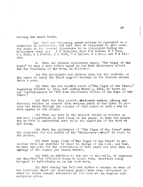selling the small books.

 $(g)$  That the following named persons be appointed as a committee on literature, and that they be requested to give careful study to the special literature to be circulated during the missionary campa gn: G B Thompson, Miss E M Graham, W T Knox, 0 A Tait, R L Pierce, I A Ford, '7 A Spicer, H H Hall, and F M Wilcox.

3., That our pioneer missionary paper, "The Signs of the Times" be made a more active agent in our Home Missionary effort, for the finishing of the work, as follows:-

(a) The publishers and editors plan for the contents of the paper to carry the Third Angel's Message in its various phases twice a year.

(b) That the six month's issue of"The Signs of the Times," beginning October 1, 1914, and ending March 1, 1915, be known in our correspondence as "The Home Missionary Series of the Sigis of the Times."

(c) That for this special Missionary seties, strong and forceful writers be secured from various parts of the field to present the truth through the columns of this paper in such a way as will appeal to the people.

(d) That our work in the mission fields be written up and well illustrated in each issue of the paper, so that the people nay be able to understand more fully the magnitude of the work we are doing.

(e) That the publishers of "The Signs of the Times" make the club-rate for six months of the "Missionary series" 60 cents to our people,

(f) That large clubs of "The Signs of the Times" be solicited from our churches by those in charge of the work, and that we make the goal for the circulation of this paper not less than an agerage of two copies per church member.

 $(g)$  That in addition to the use of the mails, we organize our churches for effective house to house work, territory being assigned to individuals as in the book work.

(h) That during the fall and winter a canvass be made of the territory where our missionary papers have been circulated in order to secure annual subscriptions for them at the regular subscription price.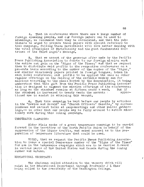4. That in conferences where there are a large number of foreign speaking people, and our foreign papers can be used to advantage, we recommend that they be circulated, and that the publishers be urged to prepare these papers with special reference to this campaign, filling these periodicals with live matter dealing with the vital principles of Christianity and the geat fundamental doc $\sim$ trines of the Third Angel's Message,

5. That we accept of the generous offer made by the Pacific Press Publishing Association to donote to our foreign mission work the entire net gain on the "Signs of the Times;" and that we request them to distribute said profits to the respective conferences on a pro—rata basis according to the number of the copies of the "Signs," and similar missionary papers printed in foreign tongues, taken in each local conference; said profits to be applied the same as other regular offerings on the raising of the definite weekly sum for missions according to the plena dopted by the denomination, it being understood that this gift from the Pacific Press Publishing Associa tion is designed to augment the mission offerings of the conferences<br>as long as the standard remains at fifteen cents a week, But if as long as the standard remains at fifteen cents a week. But if<br>the standard is increased to twenty cents the amounts : apporthe standard is increased to twenty cents the amounts  $\cdot$ tioned are to assist in attaining this amount.

6. That this campaign be kept before our people by articles in the "Review and Herald" and "Church Officers' Gazette," by correspondence and earnest talks at camp—meetings and other public gather ings, $-$  in order that our people may be fully aroused to active missionary work during this coming campaign.

#### TEMPERANCE CAMPAIGN:

Elder plaiz apoke of a great temperance campaign to be carrisi forward in the territory of the North Pacific Union in behalf of the suppression of the liquor traffic, and asked counsel as to the preparation of temperance literature that could be used.

VOTED, that we request the Pacific Hness Publishing Associa tion to issue a special Temperance number of the "Signs of the Times" for use in the temperance campaigns which are to be carried forward. in various parts of the United States and Canada during the coming summer and autumn.

# EDUCATIONAL SECRETARY:

exist in the Educational Department through Professor J L Shaw being called to the presidenty of the Washington College. The chairman called attention to the vacancy which will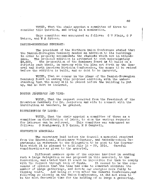VOTED, That the chair appoint a committee of three to consider this question, and bring in a nomination.

This committee was announced as follows: C W Flaiz, G F Watson, and W A Spicer.

#### DANISH\*NORWEGIAN SEMINARY:

 $\mathfrak{c}$ 

The president of the Northern Union Conference stated that the Danish-Norwegian Seminary needed an addition to its buildings in order to properly accommodate the students which are in attendance. The proposed addition is estimated to cost approximately \$8,500. The proposition of the Seminary Board is to build on a strictly cash basis, in harmony with the plan set forth by the General and North American Division Conferences, the money to be raised before the addition is built, and no debt to be incurred.

VOTED, That we concur in the plans of the Danish-Norwegian Seminary Board in making this proposed addition, with the understanding that the money will be raised before the building is put up, and no debt be incurred,

# DOCTOR JESPERSON AND WIFE:

VOTED, That the request received from the President ar the Broadview Seminary for Dr. Jesperson and wife to connect with the institution as teachers, be granted,

#### DISTRIBUTION OF LABOR:

VOTED, That the chair appoint a committee of three as a committee on distribution of labor, to whom the various requests for laborers can be referred. This committee was anhounced as follows: 0 Montgomery, R D Quinn, M N Campbell. follows: 0 Montgomery, R D Quinn, M N Campbell.

#### CONVENTION MEMORIAL:

The secretary laid before the Council a memorial received from the Educational, Missionary Volunteer, and Sabbath-school Departments in reference to the delegation to be sent to the Convention which it is planned to hold July 15 - 29, 1914. Careful considerationw as given to the memorial.

Different members spoke of the expense involved in sending such a large delegation as was proposed in this memorial, to the Convention, and stated that it would be impossible for them to comply with the request through lack of funds. It seemed to be the conwith the request through lack of funds. sensus of opinion that the time had come to somewhat minimize the number of large gatherings, and devote our energies more fully to winning souls, And being so soon after the General Conference,and following so closely on the Union Conferences, it did not seem to be the most favorable time for the holding of so large a gathering.

89

NEGERING WALNUT WALKERS COMPANY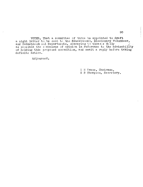VOTED, That a committee of three be appointed to draft a night letter to be sent to the Educational, Missionary Volunteer, and Sabbath-school Departments, conveying to them a s filly  $\mathcal{A}$ as possible the consensus of opinion in reference to the advisability of holding this proposed convention, and await a reply before taking definite action.

Adjourned.

I H Evans, Chairman,

G B Thompson, Secretary,

The first participation of the contract of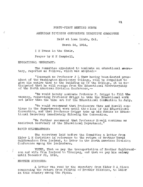#### FORTY-FIRST MEETING NORTH

#### AMERICAN DIVISION CONFERENCE EXECUTIVE COMMITTEE

Held at Loma Linda, Cal.

March 26, 1914,

I H Evans in the Chair.

Prayer by M N Campbell,

EDUCATIONAL SECRETARY:

The committee appointed to nominate an educational secretary, reported as follows, which was adopted: $-$ 

"Inasmuch as Professor  $J$  L Shaw having been dected president of the Washington Missionary College, will be compelled to give his entire time to the building up of the College, it is anticipated that he will resign from the Educational Secretaryship of the North American Division Conference, --

"We would hereby nominate Professor F. Griggs to fill the vacancy, requesting Professor Griggs to take the Educational work not later than the time set for the Educational Confention in July.

"We would recommend that Professors Shaw and Howell continue in the departmental work until the close of the Educational Convention, and that Professor Griggs take up his duties as Educational Secretary immediately following the Convention.

"We further recommend that Professor Howell continue as assistant secretary of the Educational Department."

#### DAVID GULDERANDSON:

The secretary laid before the Committee a letter from Elder L H Christian in reference to the return of Brother David Guldbrandson from Iceland, to labor in the North American Division Conference among the Icelanders.

VOTED, That we pay the transportation of Brother Guldbrandson and wife from Iceland to Winnipeg, and that we pay his salary until December 31, 1914,

# BROTHER MIKKONEN:

A letter was read by the secretary from Elder 0 A Olsen concerning the return from Finland of Brother Mikkonen, to labor in this country among the Finns.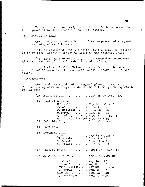The matter was carefully considered, but there seemed to be no place at present where he could be located.

# DISTRIBUTION OF LABOR:

The Committee on Distribution of Labor presented a report which was adopted as follows:-

 $(1)$  We recommend that the North Pacific Union be requested to release Elder A V Cotton to labor in the Atlantic Union.

(2) That the Southeastern Union be requested to release Elder R T Nash of Florida to labor in North Dakota.

(3) That the Pacific Union be requested to release Elder J H Behrens to connect with the North Carolina Conference as president.

#### CAMP-MEETINGS:

The committee appointed to suggest plans, dates, etc., for our coming camp-meetings, rendered the following report, which was adopted:-

(1) Atlantic Union  $\ldots$ ,  $\ldots$ , June 15 to Sept, 10. (2) Central Union:-  $N$ ebraska  $\ldots$   $\ldots$  May 25 - June 7 Wyoming  $\ldots$ , June  $4 - 14$  $W<sub>•</sub>$  Colorado  $\qquad \qquad . \qquad June 16 - 22$ Colorado  $\ldots$ ,  $\text{Aug. } 13 - 23$ E. and W. Kansas . Aug.  $27 - \text{Sept. } 6$  $N$ . " S. Missouri Aug. 20 - 30 Columbia Unipn . . . . . June 11 to Oct. 3.  $(3)$  $(4)$ Lake Union: Union:<br>
Iowa . . . . . . . May 28 - June 7<br>
Minnesota . . . . June 5 - 14<br>
S. Dakota . . . . June 12 - 21<br>
N. Dakota . . . . June 19 - 29  $(5)$ Northern Union: .  $\frac{1}{3}$  June  $\frac{5}{3} - 14$ <br>
. June  $12 - 21$ <br>
. June  $19 - 29$ Minnesota **• •**  S. Dakota • **• 0**  N. Dakota **• 6**  (6) Pacific Union.  $\ldots$ , April 25 - Oct, 15  $(7)$  N. Pacific Union . . . . May 9 to June 29 . May 9 to Jun<br>
. May 14 - 23<br>
. May 21 - 30<br>
. May 28 - Jun • Oregon . . . . May 14 - 23 . May 14 - 23<br>. May 21 - 30<br>. May 28 - June 6<br>. June 4 - 13 . May 14 - 23<br>
. May 21 - 30<br>
. May 28 - Jun<br>
. June 4 - 13<br>
. June 11 - 20 S. Idaho, Upper Columbia W.  $\text{Area on } \bullet \bullet \bullet \bullet \bullet \text{ June } 4 - 13$ Montana  $\ldots$ ,  $\ldots$  June 11 - 20  $V_{\star}$  Vashington , Aug. 14 - 24

**EXECUTIVE IN A PARTIES**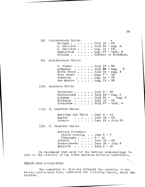(8) Southeastern Union: (9) Southwestern Union: Georgia  $\ldots$  . . . . July 16 - 26  $S.$  Carolina  $\ldots$ ,  $July$  10  $-20$ <br>S. Carolina  $\ldots$ , July 30  $- Aug.$  9.  $N_A$  Carolina  $\cdots$  . . . July 30 - Aug.<br> $N_A$  Carolina  $\cdots$ . . Aug. 13 - 23.  $\texttt{Cumberland} \quad \texttt{A.ug. 27 - Sept. 6}$ Plorida . . . . . . October or November. S. Texas:  $\ldots$ ,  $\ldots$ , July 17 - 26 Arkansas  $\ldots$ ,  $\ldots$ , July  $34 - \text{Aug.}$  2 North Texas . . . . July  $31 - Aug.9$ West Texas  $\ldots$   $\ldots$   $\text{Aug}_*$  7 -  $\frac{16}{3}$ Oklahoma . . . .  $Aug. 14 - 23$ New Mexico  $\ldots$ ,  $\ldots$  Aug,  $21 - 30$ (10) Southern Union: Tennessee . . . . . . July  $9 - 19$ Mississippi . . . . . July 23 - Aug. 2 Alabama  $\ldots$ ,  $\text{July } 31 - \text{Aug. } 9$ <br>Kentucky  $\ldots$ ,  $\text{July } 13 - 23$ Kentucky . . . . . . July  $13 - 23$ <br>Louisiana . . . . . July  $27 -$  Sep  $\ldots$ , July 27 - Sept, 6 (11) E. Canadian Union: Maritime and Union . June 4 - 14 Quebec . . . . . . June  $16 - 23$ <br>Ontario . . . . . June  $25 - Ju$  $\ldots$ , Jure 25 - July 25 (12) W, Canadian Union: British Columbia: (Coast meeting . June 2 - 7 (Okanagan  $\ldots$ , 9 - 14 Alberta  $\ldots$ ,  $\ldots$  June 18 - 28 Saskatchewan . . . . June 25 - July 5 Manitoba  $\ldots$   $\ldots$  July 2 - 12 We recommend that help for the various camp-meetings be left to the officers of the North American Division Conference.

TWENTY-CENT-A-VEEK-FUND:

The committee to whom was referred the question of the twenty-cent-a-week fund, submitted the following report, which was adopted: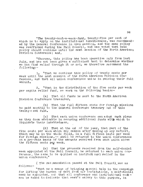"The twenty-cent-a-week-fund, twenty-five per cent of which is to apply on the institutional indebtedness, was recommended by the General Conference in open session, and the same policy was reaffirmed during the Fall Council, and was voted that said policy should continue until the next session of the North American Division Conference; and,

"Whereas, this policy has been operative only from last July, and has not been given a sufficient test to determine whether we can find relief through it or not, we therefore recommend the following:-

1. "That we continue this policy of twenty cents per week until the next session of the North American Division Conference, and that all union conferences unite in raising their full amount.

2. "That in the distribution of the five cents per week per capita relief fund, we work on the following basis:-

(a) That all funds be sent to the North American Division Conference treasurer.

(b) That the full fifteen cents for foreign missions be paid monthly to the General Conference treasury out of this twenty c ent fund.

(c) That each union conference can adopt such plans as they deem advisable in securing additional funds with which to liquidate their indebtedness.

(d) That at the end of the year, that part of the five cents per week which may remain after making up any deficit, which may be in the whole field, in a full fifteen cents per week for foreign missions, -- shall be returned to the union conferences on a pro-rata basis of the amounts received from each union above the fifteen cents per week.

(e) That the proceeds received from the self-denial week appointed at the Fall Council, be returned to each union conference, the same to be applied on institutional relief in the union conference."

( The recommendation passed at the Fall Council was as follows;-

"That as a means of bringing special help in the campaign for lifting the burden of debt from car institutions, a self-denial week be appointed, and that all conference and institutional workers be asked to dedicate that week's salary to this purpose. in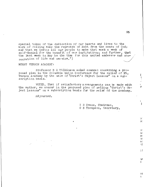special token of the dedication of our hearts and lives to the work of rolling away the reproach of debt from the cause of God; and that we invite all our people to make that week a week of self-denial for the benefit of our institutions; and further, that the last week in May be the time for this united endeavor and consecration of life and service.")

MOUNT VERNON ACADEMY:

Professor B G Wilkinson asked counsel concerning a pro $\div$ posed plan in the Columbia Union Conference for the relief of Mt. Vernon Academy by the sale of "Christ's Object Lessons" on a subscription basis.

VOTED, That if satisfactory arrangements can be made with the author, we concur in the proposed plan of selling "Christ's Object Lessons" on a subscription basis for the relief of the Academy.

Adjourned.

I H Evans, Chairman, G B Thompson, Secretary. Ç.  $\mathcal{L}_{\mathcal{A}}$ 

 $\mathbf{r}$  $\mathbf{H}$ 

÷  $\mathbf{F}$ 

 $\mathcal{L}$ 3C

 $: \in$  $1<sup>2</sup>$  $\mathcal{U}$  $\mathbf{r}$ эc ۰į

 $\cdot$  1

 $1\%$  $\mathfrak{Z}$ 

 $3<sup>2</sup>$ 讠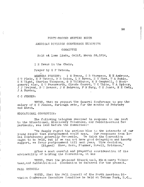#### FORTY-SECOND MEETING NORTH

### AMERICAN DIVISION CONFERENCE EXECUTIVE

#### COMMITTEE

Held at Loma Linda, Calif. March 28,1914,

I H Evans in the Chair.

Prayer by G F Watson.

MEMBERS PRESENT: I H Evans, G B Thompson, E E Andross, C W Flaiz, G F Watson, R D Quinn, L H Bpwen, H S Shaw, W A Ruble, S E Wight, Charles Thompson, G B Wilkinson, M N Campbell, O Montgomery; also, E W Farnsworth, Claude Conard, W C White, W A Spicer, J J Ireland, D W Reaser, J H Behrens, F M Burg, C H Jones, M E Cady, J A Burden,

C C JENSEN:

VOTED, That we request the General Conference to pay the salary of C C Jensen, furlough rate, for the months of February and March,

#### EDUCATIONAL CONVENTION:

The following telegram received in response to one sent to the Educational, Missionary Volunteer, and Sabbath-school Departments, was laid before the Committee:-

"We deeply regret the serious blow to the interests of our<br>le that postponement would mean. Our responses from loyoung people that postponement would mean. cal conferences generally favorable. We think the Convention ought to be held, but if we can not have good delegation and hearty support, we favor postponement till next year. Wire decision, (Signed) Shaw, Kern, Plummer, Howell, Erickson."

After a most careful and prayerful consideration of the advisability of holding the Convention, it was

VOTED, That the proposed Educational, Missionary Volunteer, and Sabbath-school Convention be deferred for the present.

FALL COUNCIL:

VOTED, That the Fall Council of the North American Division Conference Executive Committee be held at Takoma Park, D.C.,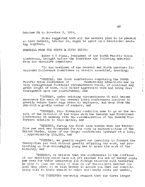October 25 to November 3, 1914,

It was suggested that all the members plan to be present so that Sabbath, October 24, might be spent in a devotional meeting together,

MEMORIAL FROM THE NORTH FA CIFIC UNION:

 $\mathbf{r}$ 

Elder C W Flaiz, President of the North Pacific Union Conference, brought before the Committee the following memorial from his executive committee:

"To the brethren of the General and North American Divisional Conference Committees in session assembled, Greeting:

"WHEREAS, the local conferences comprising the North Pacific Union Conference of Seventh-day Adventists are Seventh-day Adventists are in very straightened financial circumstances which, if continued any great length of time, will hinder aggressive work and bring discouragement upon our constituency, and

"WHEREAS, under existing circumstances it will become necessary for each of the several local conferences involved to greatly reduce their wage rates to employees, and drop from the pay-roll a goodly number of workers, and

"WHEREAS, this financial condition came to us as the result of the division of the tithe with the General and Divisional Conferences in harmony with the recommendation of the General Conference relative to this matter, and

"WHEREAS, during the first nine months that the twentyfive per cent was forwarded for the work in eastern cities of the United States, three of our larger conferences operated at a loss,  $\frac{1}{2}$  approximately \$10,000, and

"WHEREAS, we greatly regret our inability to forward the twenty-five per cent without greatly crippling our work, and prohibiting us from encouraging young men to enter the work of the ministry, and

"WHEREAS, we believe that the conferences in the confines of our territory which have not yet reached the sum of twenty cents per week for their membership for foreign missions will hereafter he able to join the ranks of thœ in our Union which reached the goal this year; so we wish hereby to assure you that our constituency will do their utmost to reach the twenty cents per member,

"WE THEREFORE earnestly request that the three larger

 $\frac{1}{2}$  $\bar{J}$ 

 $\frac{1}{2}$  .  $\mathcal{I}^{\pm}$ 

 $\mathbf{I}$  $\frac{a}{\pi}$  $\frac{1}{2}$  $\mathbf{r}$